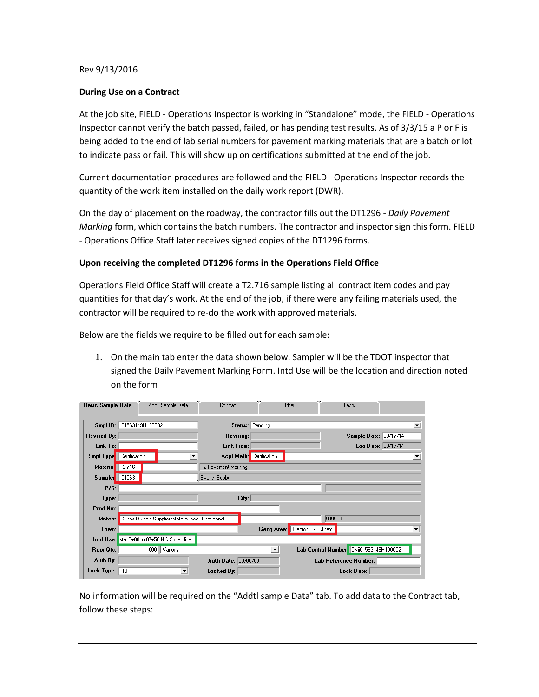## Rev 9/13/2016

## **During Use on a Contract**

At the job site, FIELD - Operations Inspector is working in "Standalone" mode, the FIELD - Operations Inspector cannot verify the batch passed, failed, or has pending test results. As of 3/3/15 a P or F is being added to the end of lab serial numbers for pavement marking materials that are a batch or lot to indicate pass or fail. This will show up on certifications submitted at the end of the job.

Current documentation procedures are followed and the FIELD - Operations Inspector records the quantity of the work item installed on the daily work report (DWR).

On the day of placement on the roadway, the contractor fills out the DT1296 - *Daily Pavement Marking* form, which contains the batch numbers. The contractor and inspector sign this form. FIELD - Operations Office Staff later receives signed copies of the DT1296 forms.

## **Upon receiving the completed DT1296 forms in the Operations Field Office**

Operations Field Office Staff will create a T2.716 sample listing all contract item codes and pay quantities for that day's work. At the end of the job, if there were any failing materials used, the contractor will be required to re-do the work with approved materials.

Below are the fields we require to be filled out for each sample:

1. On the main tab enter the data shown below. Sampler will be the TDOT inspector that signed the Daily Pavement Marking Form. Intd Use will be the location and direction noted on the form

| <b>Basic Sample Data</b>    |               | Addtl Sample Data                                          | Contract                   |                                 | Other                        | Tests                                 |                    |
|-----------------------------|---------------|------------------------------------------------------------|----------------------------|---------------------------------|------------------------------|---------------------------------------|--------------------|
| Smpl ID: [i01563149H100002] |               |                                                            |                            | Status: Pending                 |                              |                                       | ▾                  |
| <b>Revised By:</b>          |               |                                                            | Revising:                  |                                 |                              | Sample Date: 09/17/14                 |                    |
| Link To:                    |               |                                                            | Link From:                 |                                 |                              |                                       | Log Date: 09/17/14 |
| Smpl Type                   | Certification |                                                            |                            | <b>Acpt Meth:</b> Certification |                              |                                       | ▼                  |
| Materia 12.716              |               |                                                            | <b>T2 Pavement Marking</b> |                                 |                              |                                       |                    |
| Sampler 101563              |               |                                                            | Evans, Bobby               |                                 |                              |                                       |                    |
| P/S:                        |               |                                                            |                            |                                 |                              |                                       |                    |
| Type:                       |               |                                                            | City:                      |                                 |                              |                                       |                    |
| Prod Nm:                    |               |                                                            |                            |                                 |                              |                                       |                    |
|                             |               | Mnfctr: T2 has Multiple Supplier/Mnfctrs [see Other panel] |                            |                                 |                              | 99999999                              |                    |
| Town:                       |               |                                                            |                            |                                 | Geog Area: Region 2 - Putnam |                                       |                    |
|                             |               | Intd Use: sta. 3+00 to 87+50 N & S mainline                |                            |                                 |                              |                                       |                    |
| Repr Qty:                   |               | Various<br>.000 <sub>1</sub>                               |                            | $\blacktriangledown$            |                              | Lab Control Number CNi01563149H100002 |                    |
| Auth By:                    |               |                                                            | Auth Date: 00/00/00        |                                 |                              | Lab Reference Number:                 |                    |
| Lock Type: $ HQ $           |               |                                                            | Locked By:                 |                                 |                              | Lock Date:                            |                    |

No information will be required on the "Addtl sample Data" tab. To add data to the Contract tab, follow these steps: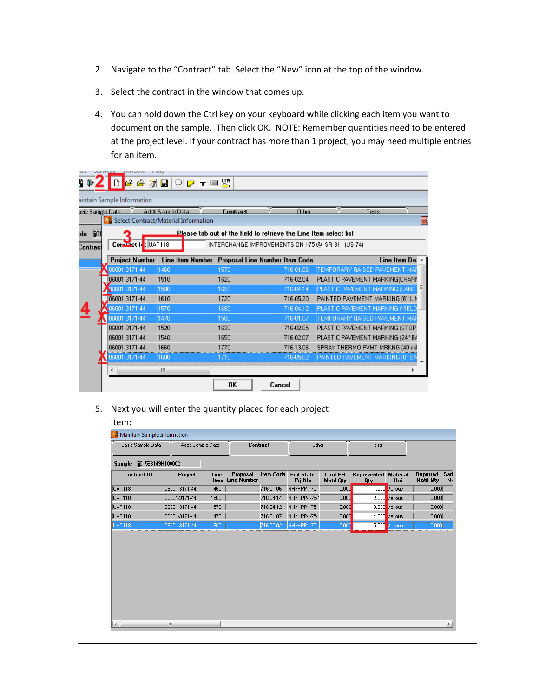- 2. Navigate to the "Contract" tab. Select the "New" icon at the top of the window.
- 3. Select the contract in the window that comes up.
- 4. You can hold down the Ctrl key on your keyboard while clicking each item you want to document on the sample. Then click OK. NOTE: Remember quantities need to be entered at the project level. If your contract has more than 1 project, you may need multiple entries for an item.

|                   | עווועט ווכוע               |                                                            |                                                                   |              |                                  |   |
|-------------------|----------------------------|------------------------------------------------------------|-------------------------------------------------------------------|--------------|----------------------------------|---|
| $\blacksquare$    |                            | <b>GGJBQFTES</b>                                           |                                                                   |              |                                  |   |
|                   | aintain Sample Information |                                                            |                                                                   |              |                                  |   |
| asic Sample Data. |                            | Addil Sample Data                                          | <b>Contract</b>                                                   | <b>Other</b> | Tests                            |   |
|                   |                            | <b>R</b> <sup>8</sup> Select Contract/Material Information |                                                                   |              |                                  | E |
| lij01<br>ple      |                            |                                                            | Please tab out of the field to retrieve the Line Item select list |              |                                  |   |
| Contracl          | Corneact I. UAT118         |                                                            | INTERCHANGE IMPROVEMENTS ON I-75 @ SR 311 (US-74)                 |              |                                  |   |
|                   | <b>Project Number</b>      |                                                            | Line Item Number Proposal Line Number Item Code                   |              | Line Item De:                    |   |
|                   | 06001-3171-44              | 1460                                                       | 1570                                                              | 716-01.06    | TEMPORARY RAISED PAVEMENT MAP    |   |
|                   | 06001-3171-44              | 1510                                                       | 1620                                                              | 716-02.04    | PLASTIC PAVEMENT MARKING(CHANN   |   |
|                   | 06001-3171-44              | 1580                                                       | 1690                                                              | 716-04.14    | PLASTIC PAVEMENT MARKING (LANE   |   |
|                   | 06001-3171-44              | 1610                                                       | 1720                                                              | 716-05.20    | PAINTED PAVEMENT MARKING (6" LIN |   |
|                   | 06001-3171-44              | 1570                                                       | 1680                                                              | 716-04.12    | PLASTIC PAVEMENT MARKING (YIELD  |   |
|                   | 06001-3171-44              | 1470                                                       | 1580                                                              | 716-01.07    | TEMPORARY RAISED PAVEMENT MAP    |   |
|                   | 06001-3171-44              | 1520                                                       | 1630                                                              | 716-02.05    | PLASTIC PAVEMENT MARKING (STOP   |   |
|                   | 06001-3171-44              | 1540                                                       | 1650                                                              | 716-02.07    | PLASTIC PAVEMENT MARKING (24" B/ |   |
|                   | 06001-3171-44              | 1660                                                       | 1770                                                              | 716-13.06    | SPRAY THERMO PVMT MRKNG (40 mil  |   |
|                   | 06001-3171-44              | 1600                                                       | 1710                                                              | 716-05.02    | PAINTED PAVEMENT MARKING (8" BA  |   |
|                   |                            | m.                                                         |                                                                   |              |                                  |   |
|                   |                            |                                                            | OK<br>Cancel                                                      |              |                                  |   |

5. Next you will enter the quantity placed for each project

## item:

<u>e anno 19</u>

| Basic Sample Data  | Addtl Sample Data |              |                                | Contract         | Other                       |                                     | Tests                     |                         |                                      |
|--------------------|-------------------|--------------|--------------------------------|------------------|-----------------------------|-------------------------------------|---------------------------|-------------------------|--------------------------------------|
| Sample             | ji01563149H100002 |              |                                |                  |                             |                                     |                           |                         |                                      |
| <b>Contract ID</b> | Project           | Line<br>Item | Proposal<br><b>Line Number</b> | <b>Item Code</b> | <b>Fed State</b><br>Prj Nbr | <b>Cont Est</b><br><b>Matri Qty</b> | Represented<br><b>Qty</b> | <b>Material</b><br>Unit | Reported<br>Sati<br><b>Matri Qty</b> |
| UAT118             | 06001-3171-44     | 1460         |                                | 716-01.06        | NH/HPP-I-75-1               | 0.000                               |                           | 1.000 Various           | 0.000                                |
| <b>UAT118</b>      | 06001-3171-44     | 1580         |                                | 716-04.14        | NH/HPP-I-75-1               | 0.000                               |                           | 2.000 Various           | 0.000                                |
| <b>UAT118</b>      | 06001-3171-44     | 1570         |                                | 716-04.12        | NH/HPP-I-75-1               | 0.000                               |                           | 3.000 Various           | 0.000                                |
| <b>UAT118</b>      | 06001-3171-44     | 1470         |                                | 716-01.07        | NH/HPP-I-75-1               | 0.000                               |                           | 4.000 Various           | 0.000                                |
| UAT118             | 06001-3171-44     | 1600         |                                | 716-05.02        | NH/HPP-1-75-                | 0.00                                | 5.000                     | arious)                 | 0.000                                |
|                    |                   |              |                                |                  |                             |                                     |                           |                         |                                      |
|                    |                   |              |                                |                  |                             |                                     |                           |                         |                                      |
|                    |                   |              |                                |                  |                             |                                     |                           |                         |                                      |
|                    |                   |              |                                |                  |                             |                                     |                           |                         |                                      |

۰,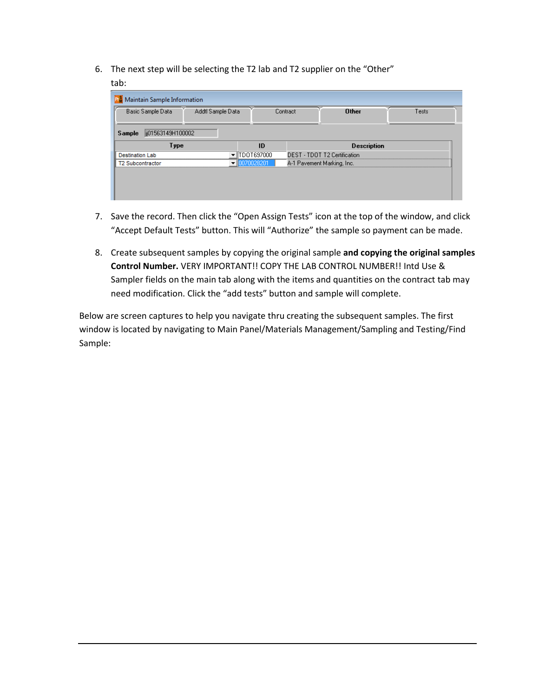- 6. The next step will be selecting the T2 lab and T2 supplier on the "Other"
	- tab:

| ii01563149H100002<br>Type<br><b>Description</b><br>ID<br>TDOT697000<br>DEST - TDOT T2 Certification | Sample<br><b>Destination Lab</b><br>70028201<br>A-1 Pavement Marking, Inc.<br><b>T2 Subcontractor</b><br>▼ |  |  |
|-----------------------------------------------------------------------------------------------------|------------------------------------------------------------------------------------------------------------|--|--|
|                                                                                                     |                                                                                                            |  |  |
|                                                                                                     |                                                                                                            |  |  |
|                                                                                                     |                                                                                                            |  |  |
|                                                                                                     |                                                                                                            |  |  |

- 7. Save the record. Then click the "Open Assign Tests" icon at the top of the window, and click "Accept Default Tests" button. This will "Authorize" the sample so payment can be made.
- 8. Create subsequent samples by copying the original sample **and copying the original samples Control Number.** VERY IMPORTANT!! COPY THE LAB CONTROL NUMBER!! Intd Use & Sampler fields on the main tab along with the items and quantities on the contract tab may need modification. Click the "add tests" button and sample will complete.

Below are screen captures to help you navigate thru creating the subsequent samples. The first window is located by navigating to Main Panel/Materials Management/Sampling and Testing/Find Sample: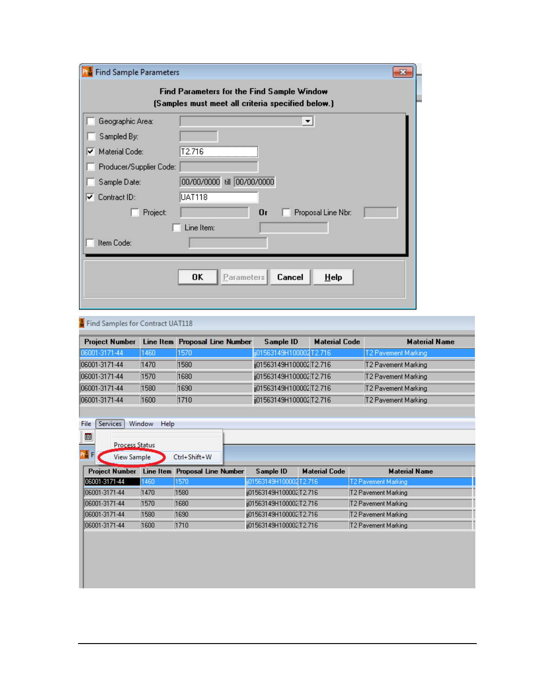| <b>Find Sample Parameters</b> |                                                                                                 | $\mathbf{z}$ |
|-------------------------------|-------------------------------------------------------------------------------------------------|--------------|
|                               | Find Parameters for the Find Sample Window<br>(Samples must meet all criteria specified below.) |              |
| Geographic Area:              | $\blacktriangledown$                                                                            |              |
| Sampled By:                   |                                                                                                 |              |
| Material Code:<br>⊻           | T2.716                                                                                          |              |
| Producer/Supplier Code:       |                                                                                                 |              |
| Sample Date:                  | till 00/00/0000<br>00/00/0000                                                                   |              |
| Contract ID:<br>⊽.            | <b>UAT118</b>                                                                                   |              |
| Project:                      | 0r<br>Proposal Line Nbr:                                                                        |              |
|                               | Line Item:                                                                                      |              |
| Item Code:                    |                                                                                                 |              |
|                               |                                                                                                 |              |
|                               | Parameters<br>Cancel<br>0K<br>HeIp                                                              |              |
|                               |                                                                                                 |              |
|                               |                                                                                                 |              |

# **A** Find Samples for Contract UAT118

| <b>Project Number</b> |      | Line Item Proposal Line Number | Sample ID                | <b>Material Code</b> | <b>Material Name</b>       |
|-----------------------|------|--------------------------------|--------------------------|----------------------|----------------------------|
| 06001-3171-44         | 1460 | 1570                           | ij01563149H100002 T2.716 |                      | T2 Pavement Marking        |
| 06001-3171-44         | 1470 | 1580                           | ij01563149H100002 T2.716 |                      | T2 Pavement Marking        |
| 06001-3171-44         | 1570 | 1680                           | j01563149H100002 T2.716  |                      | <b>T2 Pavement Marking</b> |
| 06001-3171-44         | 1580 | 1690                           | ij01563149H100002T2.716  |                      | T2 Pavement Marking        |
| 06001-3171-44         | 1600 | 1710                           | ij01563149H100002T2.716  |                      | <b>T2 Pavement Marking</b> |

|  | File   Services   Window Help |  |
|--|-------------------------------|--|
|  |                               |  |

| $\blacksquare$                       |                       | <b>Process Status</b> |                                |                         |                      |                      |
|--------------------------------------|-----------------------|-----------------------|--------------------------------|-------------------------|----------------------|----------------------|
| $Pr_{\mathbf{M}}^{\mathbf{S}}$ F $ $ |                       | View Sample           | Ctrl+Shift+W                   |                         |                      |                      |
|                                      | <b>Project Number</b> |                       | Line Item Proposal Line Number | Sample ID               | <b>Material Code</b> | <b>Material Name</b> |
|                                      | 106001-3171-44        | 1460                  | 1570                           | j01563149H100002 T2.716 |                      | T2 Pavement Marking  |
|                                      | 106001-3171-44        | 1470                  | 1580                           | j01563149H100002 T2.716 |                      | T2 Pavement Marking  |
|                                      | 106001-3171-44        | 1570                  | 1680                           | j01563149H100002 T2.716 |                      | T2 Pavement Marking  |
|                                      | 106001-3171-44        | 1580                  | 1690                           | j01563149H100002 T2.716 |                      | T2 Pavement Marking  |
|                                      | 106001-3171-44        | 1600                  | 1710                           | j01563149H100002 T2.716 |                      | T2 Pavement Marking  |